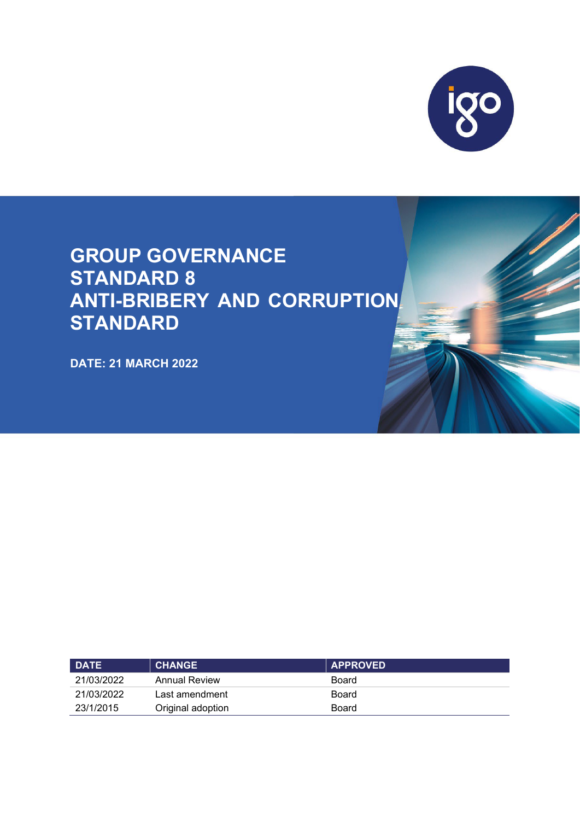

# **GROUP GOVERNANCE STANDARD 8 ANTI-BRIBERY AND CORRUPTION STANDARD**

**DATE: 21 MARCH 2022**

| <b>DATE</b> | <b>CHANGE</b>        | <b>APPROVED</b> |
|-------------|----------------------|-----------------|
| 21/03/2022  | <b>Annual Review</b> | Board           |
| 21/03/2022  | Last amendment       | Board           |
| 23/1/2015   | Original adoption    | Board           |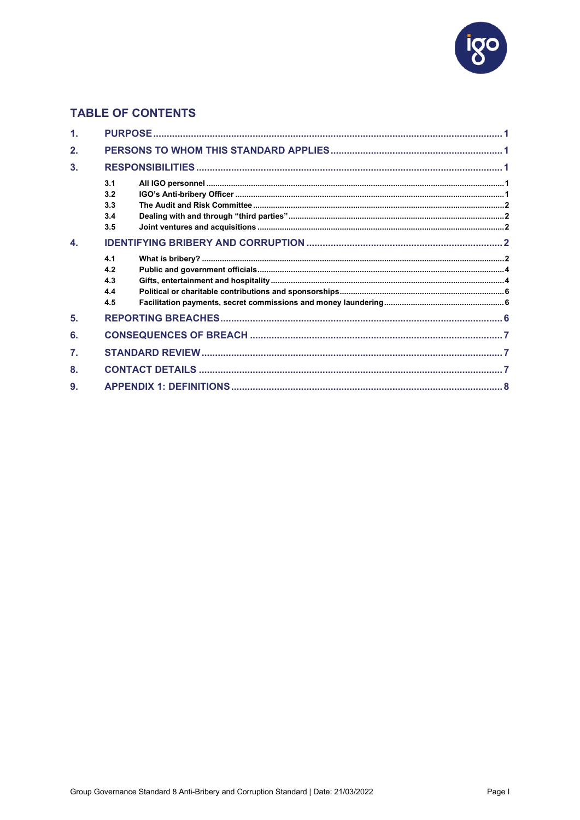

# **TABLE OF CONTENTS**

| 1.                        |                                 |  |
|---------------------------|---------------------------------|--|
| 2.                        |                                 |  |
| 3.                        |                                 |  |
|                           | 3.1<br>3.2<br>3.3<br>3.4<br>3.5 |  |
| $\overline{\mathbf{A}}$ . |                                 |  |
|                           | 4.1<br>4.2<br>4.3<br>4.4<br>4.5 |  |
| 5.                        |                                 |  |
| 6.                        |                                 |  |
| $\overline{7}$ .          |                                 |  |
| 8.                        |                                 |  |
| 9.                        |                                 |  |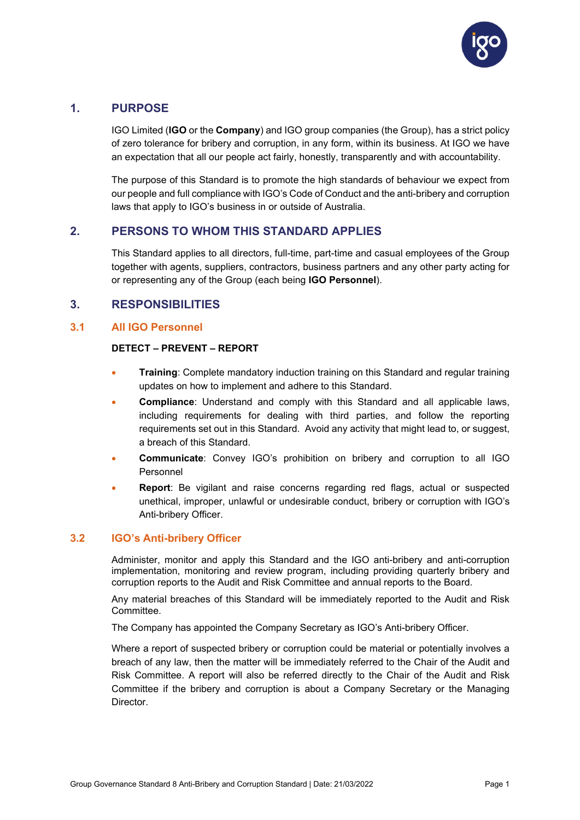

## <span id="page-2-0"></span>**1. PURPOSE**

IGO Limited (**IGO** or the **Company**) and IGO group companies (the Group), has a strict policy of zero tolerance for bribery and corruption, in any form, within its business. At IGO we have an expectation that all our people act fairly, honestly, transparently and with accountability.

The purpose of this Standard is to promote the high standards of behaviour we expect from our people and full compliance with IGO's Code of Conduct and the anti-bribery and corruption laws that apply to IGO's business in or outside of Australia.

## <span id="page-2-1"></span>**2. PERSONS TO WHOM THIS STANDARD APPLIES**

This Standard applies to all directors, full-time, part-time and casual employees of the Group together with agents, suppliers, contractors, business partners and any other party acting for or representing any of the Group (each being **IGO Personnel**).

## <span id="page-2-2"></span>**3. RESPONSIBILITIES**

## <span id="page-2-3"></span>**3.1 All IGO Personnel**

#### **DETECT – PREVENT – REPORT**

- **Training**: Complete mandatory induction training on this Standard and regular training updates on how to implement and adhere to this Standard.
- **Compliance**: Understand and comply with this Standard and all applicable laws, including requirements for dealing with third parties, and follow the reporting requirements set out in this Standard. Avoid any activity that might lead to, or suggest, a breach of this Standard.
- **Communicate**: Convey IGO's prohibition on bribery and corruption to all IGO Personnel
- **Report**: Be vigilant and raise concerns regarding red flags, actual or suspected unethical, improper, unlawful or undesirable conduct, bribery or corruption with IGO's Anti-bribery Officer.

#### <span id="page-2-4"></span>**3.2 IGO's Anti-bribery Officer**

Administer, monitor and apply this Standard and the IGO anti-bribery and anti-corruption implementation, monitoring and review program, including providing quarterly bribery and corruption reports to the Audit and Risk Committee and annual reports to the Board.

Any material breaches of this Standard will be immediately reported to the Audit and Risk Committee.

The Company has appointed the Company Secretary as IGO's Anti-bribery Officer.

Where a report of suspected bribery or corruption could be material or potentially involves a breach of any law, then the matter will be immediately referred to the Chair of the Audit and Risk Committee. A report will also be referred directly to the Chair of the Audit and Risk Committee if the bribery and corruption is about a Company Secretary or the Managing Director.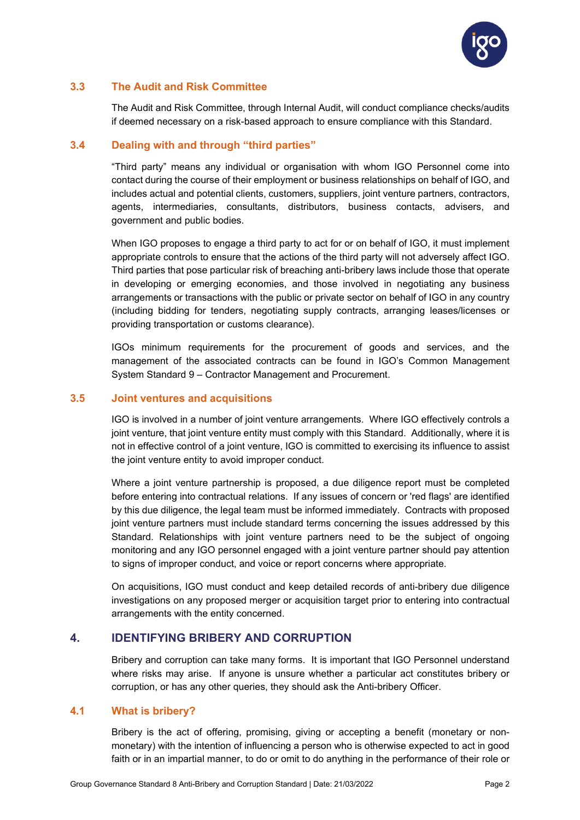

## <span id="page-3-0"></span>**3.3 The Audit and Risk Committee**

The Audit and Risk Committee, through Internal Audit, will conduct compliance checks/audits if deemed necessary on a risk-based approach to ensure compliance with this Standard.

## <span id="page-3-1"></span>**3.4 Dealing with and through "third parties"**

"Third party" means any individual or organisation with whom IGO Personnel come into contact during the course of their employment or business relationships on behalf of IGO, and includes actual and potential clients, customers, suppliers, joint venture partners, contractors, agents, intermediaries, consultants, distributors, business contacts, advisers, and government and public bodies.

When IGO proposes to engage a third party to act for or on behalf of IGO, it must implement appropriate controls to ensure that the actions of the third party will not adversely affect IGO. Third parties that pose particular risk of breaching anti-bribery laws include those that operate in developing or emerging economies, and those involved in negotiating any business arrangements or transactions with the public or private sector on behalf of IGO in any country (including bidding for tenders, negotiating supply contracts, arranging leases/licenses or providing transportation or customs clearance).

IGOs minimum requirements for the procurement of goods and services, and the management of the associated contracts can be found in IGO's Common Management System Standard 9 – Contractor Management and Procurement.

#### <span id="page-3-2"></span>**3.5 Joint ventures and acquisitions**

IGO is involved in a number of joint venture arrangements. Where IGO effectively controls a joint venture, that joint venture entity must comply with this Standard. Additionally, where it is not in effective control of a joint venture, IGO is committed to exercising its influence to assist the joint venture entity to avoid improper conduct.

Where a joint venture partnership is proposed, a due diligence report must be completed before entering into contractual relations. If any issues of concern or 'red flags' are identified by this due diligence, the legal team must be informed immediately. Contracts with proposed joint venture partners must include standard terms concerning the issues addressed by this Standard. Relationships with joint venture partners need to be the subject of ongoing monitoring and any IGO personnel engaged with a joint venture partner should pay attention to signs of improper conduct, and voice or report concerns where appropriate.

On acquisitions, IGO must conduct and keep detailed records of anti-bribery due diligence investigations on any proposed merger or acquisition target prior to entering into contractual arrangements with the entity concerned.

## <span id="page-3-3"></span>**4. IDENTIFYING BRIBERY AND CORRUPTION**

Bribery and corruption can take many forms. It is important that IGO Personnel understand where risks may arise. If anyone is unsure whether a particular act constitutes bribery or corruption, or has any other queries, they should ask the Anti-bribery Officer.

#### <span id="page-3-4"></span>**4.1 What is bribery?**

Bribery is the act of offering, promising, giving or accepting a benefit (monetary or nonmonetary) with the intention of influencing a person who is otherwise expected to act in good faith or in an impartial manner, to do or omit to do anything in the performance of their role or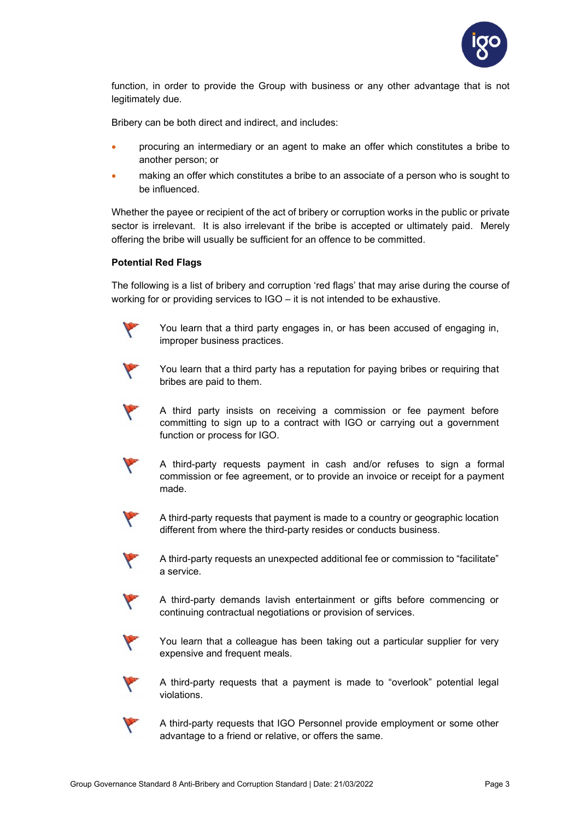

function, in order to provide the Group with business or any other advantage that is not legitimately due.

Bribery can be both direct and indirect, and includes:

- procuring an intermediary or an agent to make an offer which constitutes a bribe to another person; or
- making an offer which constitutes a bribe to an associate of a person who is sought to be influenced.

Whether the payee or recipient of the act of bribery or corruption works in the public or private sector is irrelevant. It is also irrelevant if the bribe is accepted or ultimately paid. Merely offering the bribe will usually be sufficient for an offence to be committed.

#### **Potential Red Flags**

The following is a list of bribery and corruption 'red flags' that may arise during the course of working for or providing services to IGO – it is not intended to be exhaustive.



You learn that a third party engages in, or has been accused of engaging in, improper business practices.



You learn that a third party has a reputation for paying bribes or requiring that bribes are paid to them.



A third party insists on receiving a commission or fee payment before committing to sign up to a contract with IGO or carrying out a government function or process for IGO.



A third-party requests payment in cash and/or refuses to sign a formal commission or fee agreement, or to provide an invoice or receipt for a payment made.



A third-party requests that payment is made to a country or geographic location different from where the third-party resides or conducts business.



A third-party requests an unexpected additional fee or commission to "facilitate" a service.



A third-party demands lavish entertainment or gifts before commencing or continuing contractual negotiations or provision of services.



You learn that a colleague has been taking out a particular supplier for very expensive and frequent meals.



A third-party requests that a payment is made to "overlook" potential legal violations.



A third-party requests that IGO Personnel provide employment or some other advantage to a friend or relative, or offers the same.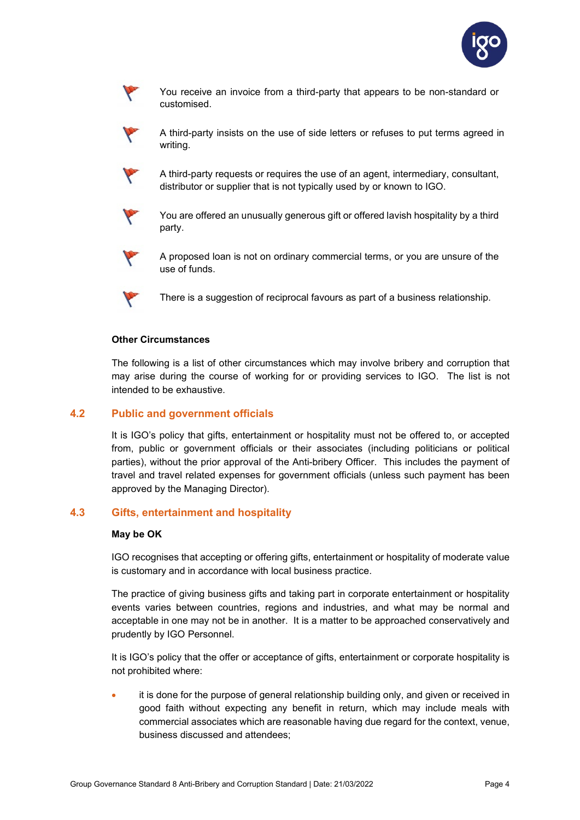

You receive an invoice from a third-party that appears to be non-standard or customised.



Y

A third-party insists on the use of side letters or refuses to put terms agreed in writing.

A third-party requests or requires the use of an agent, intermediary, consultant, distributor or supplier that is not typically used by or known to IGO.



You are offered an unusually generous gift or offered lavish hospitality by a third party.



A proposed loan is not on ordinary commercial terms, or you are unsure of the use of funds.



There is a suggestion of reciprocal favours as part of a business relationship.

#### **Other Circumstances**

The following is a list of other circumstances which may involve bribery and corruption that may arise during the course of working for or providing services to IGO. The list is not intended to be exhaustive.

#### <span id="page-5-0"></span>**4.2 Public and government officials**

It is IGO's policy that gifts, entertainment or hospitality must not be offered to, or accepted from, public or government officials or their associates (including politicians or political parties), without the prior approval of the Anti-bribery Officer. This includes the payment of travel and travel related expenses for government officials (unless such payment has been approved by the Managing Director).

#### <span id="page-5-1"></span>**4.3 Gifts, entertainment and hospitality**

#### **May be OK**

IGO recognises that accepting or offering gifts, entertainment or hospitality of moderate value is customary and in accordance with local business practice.

The practice of giving business gifts and taking part in corporate entertainment or hospitality events varies between countries, regions and industries, and what may be normal and acceptable in one may not be in another. It is a matter to be approached conservatively and prudently by IGO Personnel.

It is IGO's policy that the offer or acceptance of gifts, entertainment or corporate hospitality is not prohibited where:

it is done for the purpose of general relationship building only, and given or received in good faith without expecting any benefit in return, which may include meals with commercial associates which are reasonable having due regard for the context, venue, business discussed and attendees;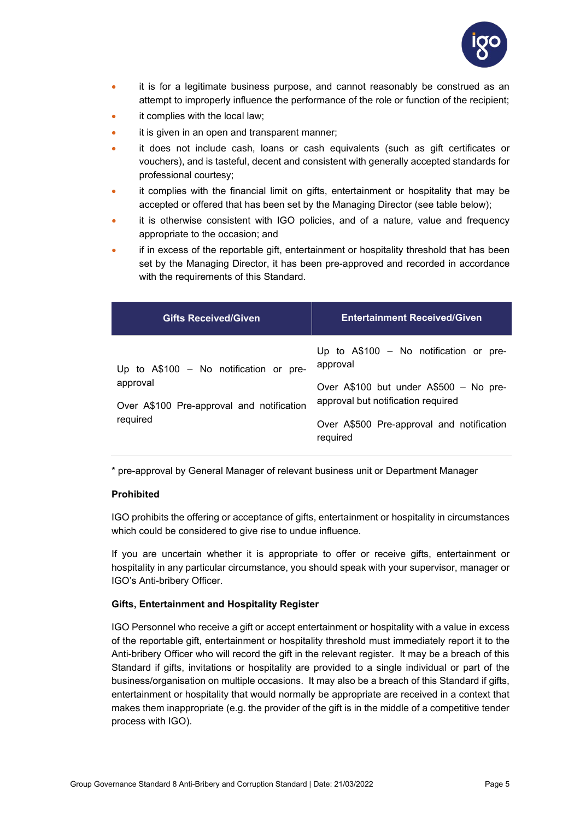

- it is for a legitimate business purpose, and cannot reasonably be construed as an attempt to improperly influence the performance of the role or function of the recipient;
- it complies with the local law;
- it is given in an open and transparent manner;
- it does not include cash, loans or cash equivalents (such as gift certificates or vouchers), and is tasteful, decent and consistent with generally accepted standards for professional courtesy;
- it complies with the financial limit on gifts, entertainment or hospitality that may be accepted or offered that has been set by the Managing Director (see table below);
- it is otherwise consistent with IGO policies, and of a nature, value and frequency appropriate to the occasion; and
- if in excess of the reportable gift, entertainment or hospitality threshold that has been set by the Managing Director, it has been pre-approved and recorded in accordance with the requirements of this Standard.

| <b>Gifts Received/Given</b>                           | <b>Entertainment Received/Given</b>                                          |
|-------------------------------------------------------|------------------------------------------------------------------------------|
| Up to A\$100 - No notification or pre-                | Up to A\$100 - No notification or pre-<br>approval                           |
| approval<br>Over A\$100 Pre-approval and notification | Over A\$100 but under A\$500 - No pre-<br>approval but notification required |
| required                                              | Over A\$500 Pre-approval and notification<br>required                        |

\* pre-approval by General Manager of relevant business unit or Department Manager

#### **Prohibited**

IGO prohibits the offering or acceptance of gifts, entertainment or hospitality in circumstances which could be considered to give rise to undue influence.

If you are uncertain whether it is appropriate to offer or receive gifts, entertainment or hospitality in any particular circumstance, you should speak with your supervisor, manager or IGO's Anti-bribery Officer.

#### **Gifts, Entertainment and Hospitality Register**

IGO Personnel who receive a gift or accept entertainment or hospitality with a value in excess of the reportable gift, entertainment or hospitality threshold must immediately report it to the Anti-bribery Officer who will record the gift in the relevant register. It may be a breach of this Standard if gifts, invitations or hospitality are provided to a single individual or part of the business/organisation on multiple occasions. It may also be a breach of this Standard if gifts, entertainment or hospitality that would normally be appropriate are received in a context that makes them inappropriate (e.g. the provider of the gift is in the middle of a competitive tender process with IGO).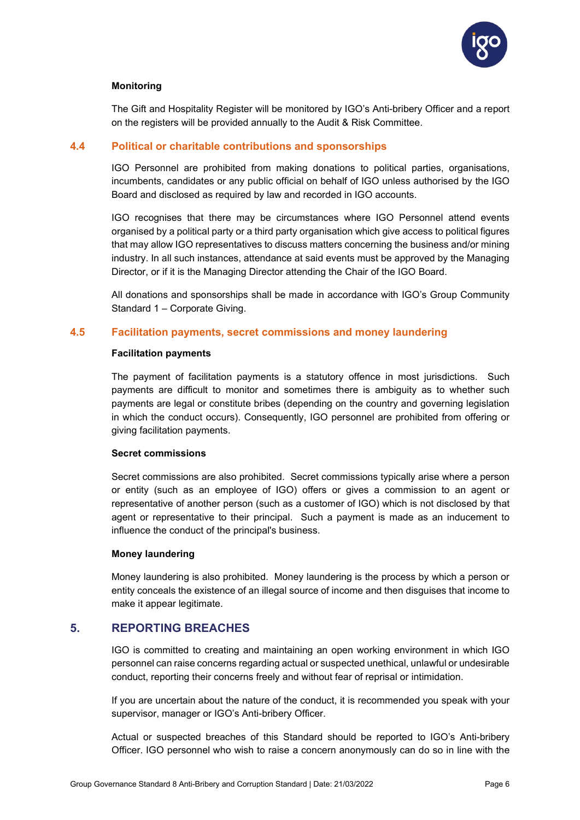

#### **Monitoring**

The Gift and Hospitality Register will be monitored by IGO's Anti-bribery Officer and a report on the registers will be provided annually to the Audit & Risk Committee.

## <span id="page-7-0"></span>**4.4 Political or charitable contributions and sponsorships**

IGO Personnel are prohibited from making donations to political parties, organisations, incumbents, candidates or any public official on behalf of IGO unless authorised by the IGO Board and disclosed as required by law and recorded in IGO accounts.

IGO recognises that there may be circumstances where IGO Personnel attend events organised by a political party or a third party organisation which give access to political figures that may allow IGO representatives to discuss matters concerning the business and/or mining industry. In all such instances, attendance at said events must be approved by the Managing Director, or if it is the Managing Director attending the Chair of the IGO Board.

All donations and sponsorships shall be made in accordance with IGO's Group Community Standard 1 – Corporate Giving.

### <span id="page-7-1"></span>**4.5 Facilitation payments, secret commissions and money laundering**

#### **Facilitation payments**

The payment of facilitation payments is a statutory offence in most jurisdictions. Such payments are difficult to monitor and sometimes there is ambiguity as to whether such payments are legal or constitute bribes (depending on the country and governing legislation in which the conduct occurs). Consequently, IGO personnel are prohibited from offering or giving facilitation payments.

#### **Secret commissions**

Secret commissions are also prohibited. Secret commissions typically arise where a person or entity (such as an employee of IGO) offers or gives a commission to an agent or representative of another person (such as a customer of IGO) which is not disclosed by that agent or representative to their principal. Such a payment is made as an inducement to influence the conduct of the principal's business.

#### **Money laundering**

Money laundering is also prohibited. Money laundering is the process by which a person or entity conceals the existence of an illegal source of income and then disguises that income to make it appear legitimate.

## <span id="page-7-2"></span>**5. REPORTING BREACHES**

IGO is committed to creating and maintaining an open working environment in which IGO personnel can raise concerns regarding actual or suspected unethical, unlawful or undesirable conduct, reporting their concerns freely and without fear of reprisal or intimidation.

If you are uncertain about the nature of the conduct, it is recommended you speak with your supervisor, manager or IGO's Anti-bribery Officer.

Actual or suspected breaches of this Standard should be reported to IGO's Anti-bribery Officer. IGO personnel who wish to raise a concern anonymously can do so in line with the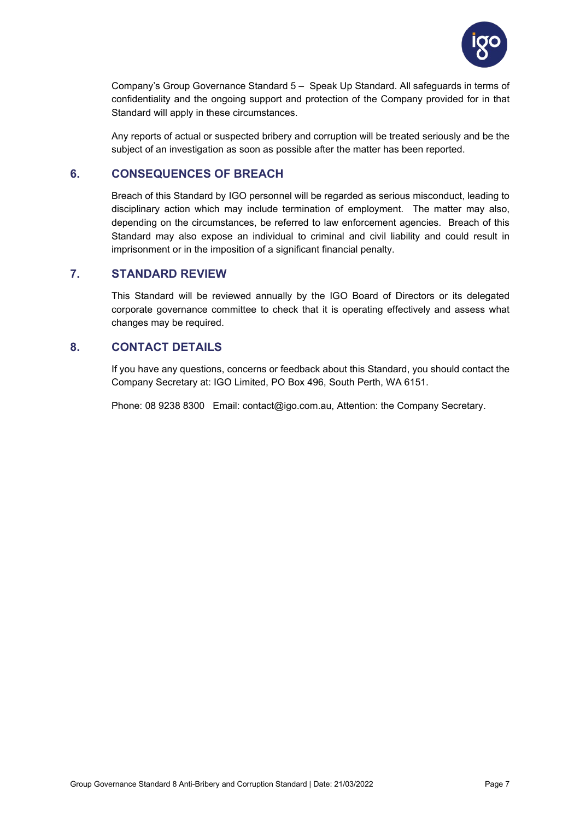

Company's Group Governance Standard 5 – Speak Up Standard. All safeguards in terms of confidentiality and the ongoing support and protection of the Company provided for in that Standard will apply in these circumstances.

Any reports of actual or suspected bribery and corruption will be treated seriously and be the subject of an investigation as soon as possible after the matter has been reported.

## <span id="page-8-0"></span>**6. CONSEQUENCES OF BREACH**

Breach of this Standard by IGO personnel will be regarded as serious misconduct, leading to disciplinary action which may include termination of employment. The matter may also, depending on the circumstances, be referred to law enforcement agencies. Breach of this Standard may also expose an individual to criminal and civil liability and could result in imprisonment or in the imposition of a significant financial penalty.

## <span id="page-8-1"></span>**7. STANDARD REVIEW**

This Standard will be reviewed annually by the IGO Board of Directors or its delegated corporate governance committee to check that it is operating effectively and assess what changes may be required.

## <span id="page-8-2"></span>**8. CONTACT DETAILS**

If you have any questions, concerns or feedback about this Standard, you should contact the Company Secretary at: IGO Limited, PO Box 496, South Perth, WA 6151.

Phone: 08 9238 8300 Email: contact@igo.com.au, Attention: the Company Secretary.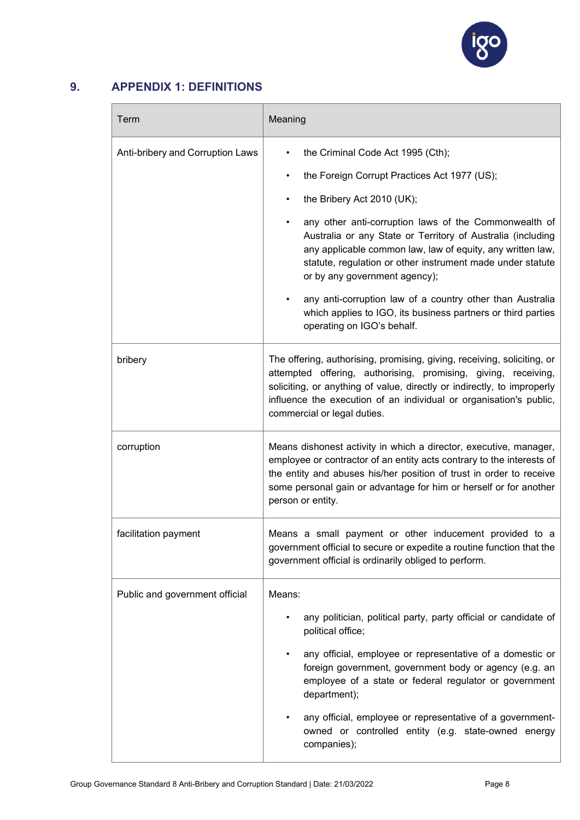

## <span id="page-9-0"></span>**9. APPENDIX 1: DEFINITIONS**

| Term                             | Meaning                                                                                                                                                                                                                                                                                                                                                                                                                                                                                                                                                                                             |  |
|----------------------------------|-----------------------------------------------------------------------------------------------------------------------------------------------------------------------------------------------------------------------------------------------------------------------------------------------------------------------------------------------------------------------------------------------------------------------------------------------------------------------------------------------------------------------------------------------------------------------------------------------------|--|
| Anti-bribery and Corruption Laws | the Criminal Code Act 1995 (Cth);<br>٠<br>the Foreign Corrupt Practices Act 1977 (US);<br>$\bullet$<br>the Bribery Act 2010 (UK);<br>٠<br>any other anti-corruption laws of the Commonwealth of<br>$\bullet$<br>Australia or any State or Territory of Australia (including<br>any applicable common law, law of equity, any written law,<br>statute, regulation or other instrument made under statute<br>or by any government agency);<br>any anti-corruption law of a country other than Australia<br>which applies to IGO, its business partners or third parties<br>operating on IGO's behalf. |  |
| bribery                          | The offering, authorising, promising, giving, receiving, soliciting, or<br>attempted offering, authorising, promising, giving, receiving,<br>soliciting, or anything of value, directly or indirectly, to improperly<br>influence the execution of an individual or organisation's public,<br>commercial or legal duties.                                                                                                                                                                                                                                                                           |  |
| corruption                       | Means dishonest activity in which a director, executive, manager,<br>employee or contractor of an entity acts contrary to the interests of<br>the entity and abuses his/her position of trust in order to receive<br>some personal gain or advantage for him or herself or for another<br>person or entity.                                                                                                                                                                                                                                                                                         |  |
| facilitation payment             | Means a small payment or other inducement provided to a<br>government official to secure or expedite a routine function that the<br>government official is ordinarily obliged to perform.                                                                                                                                                                                                                                                                                                                                                                                                           |  |
| Public and government official   | Means:<br>any politician, political party, party official or candidate of<br>political office;<br>any official, employee or representative of a domestic or<br>foreign government, government body or agency (e.g. an<br>employee of a state or federal regulator or government<br>department);<br>any official, employee or representative of a government-<br>owned or controlled entity (e.g. state-owned energy<br>companies);                                                                                                                                                                  |  |